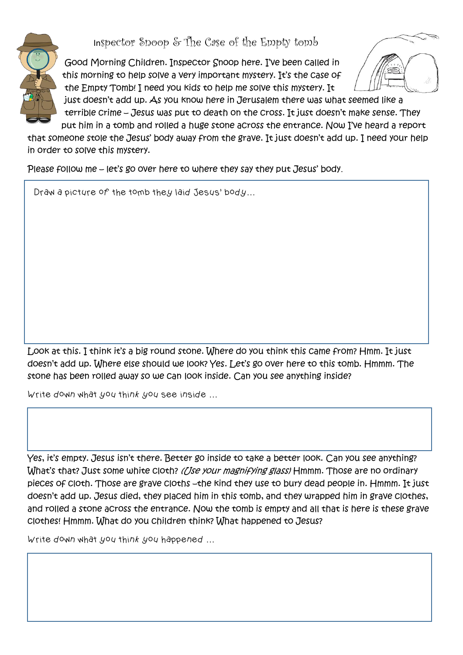Inspector Snoop & The Case of the Empty tomb



Good Morning Children. Inspector Snoop here. I've been called in this morning to help solve a very important mystery. It's the case of the Empty Tomb! I need you kids to help me solve this mystery. It



just doesn't add up. As you know here in Jerusalem there was what seemed like a terrible crime – Jesus was put to death on the cross. It just doesn't make sense. They put him in a tomb and rolled a huge stone across the entrance. Now I've heard a report

that someone stole the Jesus' body away from the grave. It just doesn't add up. I need your help in order to solve this mystery.

Please follow me – let's go over here to where they say they put Jesus' body.

Draw a picture of the tomb they laid Jesus' body…

Look at this. I think it's a big round stone. Where do you think this came from? Hmm. It just doesn't add up. Where else should we look? Yes. Let's go over here to this tomb. Hmmm. The stone has been rolled away so we can look inside. Can you see anything inside?

Write down what you think you see inside …

Yes, it's empty. Jesus isn't there. Better go inside to take a better look. Can you see anything? What's that? Just some white cloth? (*[Ise your magnifying glass*) Hmmm. Those are no ordinary pieces of cloth. Those are grave cloths –the kind they use to bury dead people in. Hmmm. It just doesn't add up. Jesus died, they placed him in this tomb, and they wrapped him in grave clothes, and rolled a stone across the entrance. Now the tomb is empty and all that is here is these grave clothes! Hmmm. What do you children think? What happened to Jesus?

Write down what you think you happened …